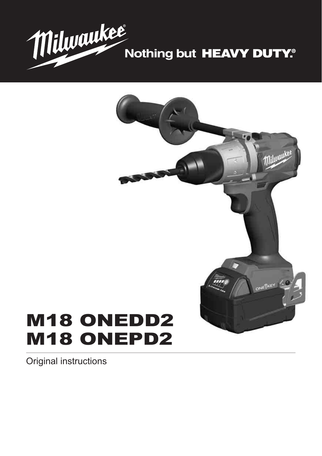



# M18 ONEDD2 M18 ONEPD2

Original instructions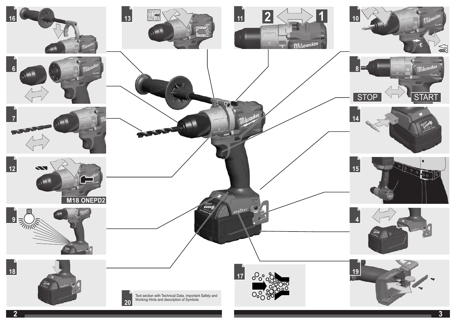

**3**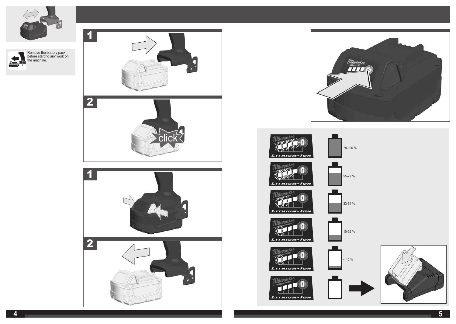![](_page_2_Picture_0.jpeg)

![](_page_2_Picture_1.jpeg)

![](_page_2_Picture_2.jpeg)

![](_page_2_Picture_3.jpeg)

![](_page_2_Figure_4.jpeg)

- 11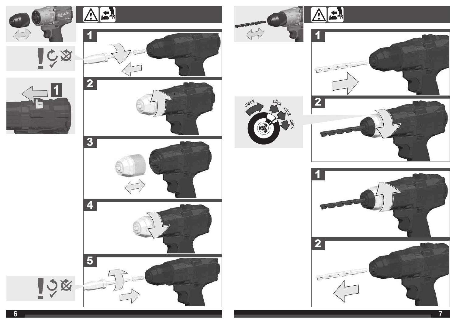![](_page_3_Picture_0.jpeg)

![](_page_3_Picture_1.jpeg)

![](_page_3_Picture_2.jpeg)

![](_page_3_Picture_3.jpeg)

![](_page_3_Picture_4.jpeg)

![](_page_3_Picture_5.jpeg)

![](_page_3_Picture_6.jpeg)

![](_page_3_Picture_7.jpeg)

 $\frac{c}{c}$ 

 $\frac{1}{2}$ 

clack

![](_page_3_Picture_8.jpeg)

![](_page_3_Picture_9.jpeg)

![](_page_3_Picture_10.jpeg)

![](_page_3_Picture_11.jpeg)

198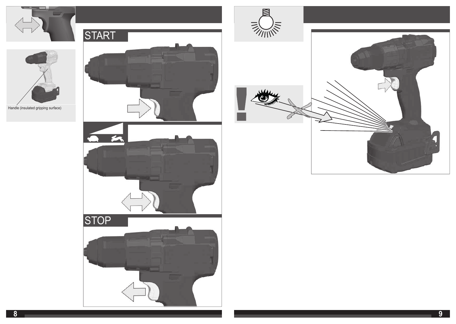![](_page_4_Picture_0.jpeg)

![](_page_4_Picture_1.jpeg)

![](_page_4_Picture_2.jpeg)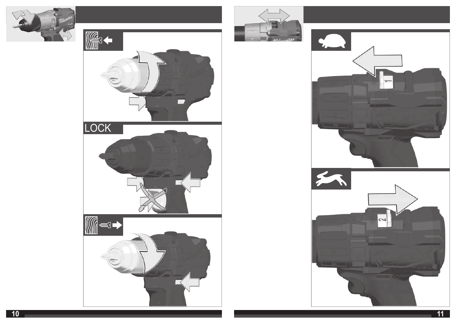![](_page_5_Picture_0.jpeg)

![](_page_5_Picture_1.jpeg)

![](_page_5_Picture_2.jpeg)

![](_page_5_Picture_3.jpeg)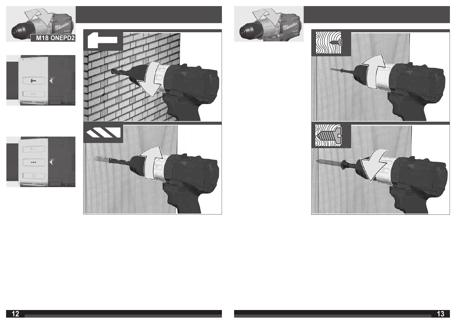![](_page_6_Picture_0.jpeg)

![](_page_6_Picture_1.jpeg)

 $\rightarrow$ 

 $\sqrt{2}$ 

 $583 - 100$ 

![](_page_6_Picture_2.jpeg)

![](_page_6_Picture_3.jpeg)

![](_page_6_Picture_4.jpeg)

![](_page_6_Picture_5.jpeg)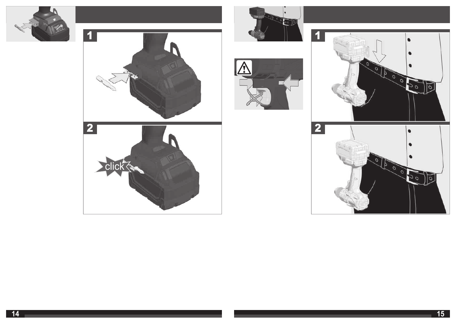![](_page_7_Picture_0.jpeg)

![](_page_7_Picture_1.jpeg)

![](_page_7_Picture_2.jpeg)

![](_page_7_Picture_3.jpeg)

![](_page_7_Picture_4.jpeg)

![](_page_7_Picture_5.jpeg)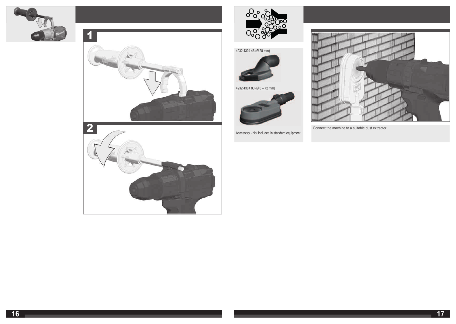![](_page_8_Picture_0.jpeg)

![](_page_8_Picture_1.jpeg)

![](_page_8_Picture_2.jpeg)

![](_page_8_Picture_3.jpeg)

![](_page_8_Picture_4.jpeg)

4932 4304 80 (Ø 6 – 72 mm)

![](_page_8_Picture_6.jpeg)

Accessory - Not included in standard equipment.

![](_page_8_Picture_8.jpeg)

![](_page_8_Picture_10.jpeg)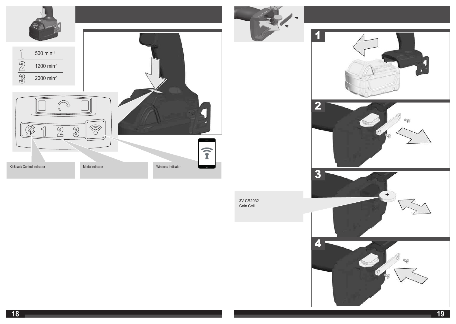![](_page_9_Picture_0.jpeg)

4

 $\mathbb{Q}_\ell$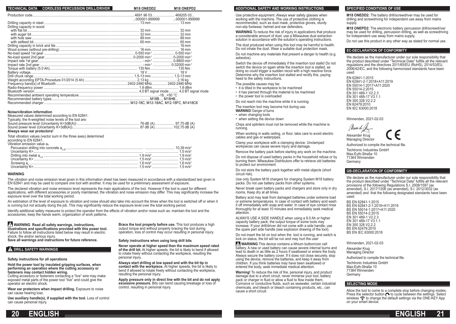| TECHNICAL DATA CORDLESS PERCUSSION DRILL/DRIVER | M <sub>18</sub> ONEDD <sub>2</sub> | M <sub>18</sub> ONEPD <sub>2</sub>           |
|-------------------------------------------------|------------------------------------|----------------------------------------------|
|                                                 |                                    |                                              |
|                                                 |                                    | $\dots$ 000001-9999999 $\dots$ 000001-999999 |
|                                                 |                                    |                                              |
| Drilling capacity in wood                       |                                    |                                              |
|                                                 |                                    |                                              |
|                                                 |                                    |                                              |
|                                                 |                                    |                                              |
|                                                 |                                    |                                              |
|                                                 |                                    |                                              |
|                                                 |                                    |                                              |
|                                                 |                                    |                                              |
|                                                 |                                    |                                              |
|                                                 |                                    |                                              |
|                                                 |                                    |                                              |
|                                                 |                                    |                                              |
|                                                 |                                    |                                              |
|                                                 |                                    |                                              |
|                                                 |                                    |                                              |
|                                                 |                                    |                                              |
|                                                 |                                    |                                              |
|                                                 |                                    |                                              |
|                                                 |                                    |                                              |
|                                                 |                                    |                                              |

#### **Noise/vibration information**

| Measured values determined according to EN 62841.       |  |  |  |
|---------------------------------------------------------|--|--|--|
| Typically, the A-weighted noise levels of the tool are: |  |  |  |
|                                                         |  |  |  |
|                                                         |  |  |  |
| Alusara waas aas weekaatasal                            |  |  |  |

**Always wear ear protectors!**

Total vibration values (vector sum in the three axes) determined according to EN 62841.

Vibration emission value ah

| vibiduoli cilicanoli valuo ar |  |
|-------------------------------|--|
|                               |  |
|                               |  |
|                               |  |
|                               |  |
|                               |  |
|                               |  |
|                               |  |

#### **WARNING**

The vibration and noise emission level given in this information sheet has been measured in accordance with a standardized test given in EN 62841 and may be used to compare one tool with another. It may be used for a preliminary assessment of exposure.

The declared vibration and noise emission level represents the main applications of the tool. However if the tool is used for different applications, with different accessories or poorly maintained, the vibration and noise emission may differ. This may significantly increase the exposure level over the total working period.

An estimation of the level of exposure to vibration and noise should also take into account the times when the tool is switched off or when it is running but not actually doing the job. This may significantly reduce the exposure level over the total working period.

Identify additional safety measures to protect the operator from the effects of vibration and/or noise such as: maintain the tool and the accessories, keep the hands warm, organization of work patterns.

# **WARNING Read all safety warnings, instructions,**

**illustrations and specifi cations provided with this power tool.** Failure to follow all instructions listed below may result in electric

shock. fire and/or serious injury.

**Save all warnings and instructions for future reference.**

# **A DRILL SAFETY WARNINGS**

# **Safety instructions for all operations**

**Hold the power tool by insulated gripping surfaces, when performing an operation where the cutting accessory or fasteners may contact hidden wiring.**

Cutting accessory or fasteners contacting a "live" wire may make exposed metal parts of the power tool "live" and could give the operator an electric shock.

**Wear ear protectors when impact drilling.** Exposure to noise can cause hearing loss.

**Use auxiliary handle(s), if supplied with the tool.** Loss of control can cause personal injury.

**Brace the tool properly before use.** This tool produces a high output torque and without properly bracing the tool during operation, loss of control may occur resulting in personal injury.

**Safety instructions when using long drill bits**

**Never operate at higher speed than the maximum speed rated of the drill bit.** At higher speeds, the bit is likely to bend if allowed to rotate freely without contacting the workpiece, resulting the personal injury.

**Always start drilling at low speed and with the bit tip in contact with the workpiece.** At higher speeds, the bit is likely to bend if allowed to rotate freely without contacting the workpiece, resulting the personal injury.

**Apply pressure only in direct line with the bit and do not apply excessive pressure.** Bits can bend causing breakage or loss of control, resulting in personal injury.

## **ADDITIONAL SAFETY AND WORKING INSTRUCTIONS**

Use protective equipment. Always wear safety glasses when working with the machine. The use of protective clothing is recommended, such as dust mask, protective gloves, sturdy non-slip footwear, helmet and ear defenders.

**WARNING** To reduce the risk of injury in applications that produce a considerable amount of dust, use a Milwaukee dust extraction solution in accordance with the solution's operating instructions.

The dust produced when using this tool may be harmful to health. Do not inhale the dust. Wear a suitable dust protection mask.

Do not machine any materials that present a danger to health (e.g. asbestos).

Switch the device off immediately if the insertion tool stalls! Do not switch the device on again while the insertion tool is stalled, as doing so could trigger a sudden recoil with a high reactive force. Determine why the insertion tool stalled and rectify this, paying heed to the safety instructions.

The possible causes may be:

- it is tilted in the workpiece to be machined
- it has pierced through the material to be machined
- the power tool is overloaded

Do not reach into the machine while it is running.

- The insertion tool may become hot during use.
- **WARNING!** Danger of burns
- when changing tools • when setting the device down

Chips and splinters must not be removed while the machine is

running.

When working in walls ceiling, or floor, take care to avoid electric cables and gas or waterpipes.

Clamp your workpiece with a clamping device. Unclamped workpieces can cause severe injury and damage.

Remove the battery pack before starting any work on the machine.

Do not dispose of used battery packs in the household refuse or by burning them. Milwaukee Distributors offer to retrieve old batteries to protect our environment.

Do not store the battery pack together with metal objects (short circuit risk).

Use only System M18 chargers for charging System M18 battery packs. Do not use battery packs from other systems.

Never break open battery packs and chargers and store only in dry rooms. Keep dry at all times.

Battery acid may leak from damaged batteries under extreme load or extreme temperatures. In case of contact with battery acid wash it off immediately with soap and water. In case of eye contact rinse thoroughly for at least 10 minutes and immediately seek medical attention.

ALWAYS USE A SIDE HANDLE when using a 9.0 Ah or higher capacity battery pack; the output torque of some tools may increase. If your drill/driver did not come with a side handle, use the spare part side handle (see explosion drawing of the tool).

Do not insert the bit on tool when the tool is running, and switch is lock on status, the bit will be run and may hurt the user

 **WARNING** This device contains a lithium button/coin cell battery. A new or used battery can cause severe internal burns and lead to death in as little as 2 hours if swallowed or enters the body. Always secure the battery cover. If it does not close securely, stop using the device, remove the batteries, and keep it away from children. If you think batteries may have been swallowed or entered the body, seek immediate medical attention.

**Warning!** To reduce the risk of fire, personal injury, and product damage due to a short circuit, never immerse your tool, battery pack or charger in fluid or allow a fluid to flow inside them. Corrosive or conductive fluids, such as seawater, certain industrial chemicals, and bleach or bleach containing products, etc., can cause a short circuit.

## **SPECIFIED CONDITIONS OF USE**

**M18 ONEDD2:** The battery drill/screwdriver may be used for drilling and screwdriving for independent use away from mains supply.

**M18 ONEPD2:** The electronic battery percussion drill/screwdriver may be used for drilling, percussion drilling, as well as screwdriving for independent use away from mains supply.

Do not use this product in any other way as stated for normal use.

## **EC-DECLARATION OF CONFORMITY**

We declare as the manufacturer under our sole responsibility that the product described under "Technical Data" fulfills all the relevant regulations and the directives 2011/65/EU (RoHS), 2014/53/EU, 2006/42/EC, and the following harmonized standards have been used:

EN 62841-1:2015 EN 62841-2-1:2018+A11:2019 EN 55014-1:2017+A11:2020 EN 55014-2:2015 EN 301 489-1 V2.2.3 EN 301 489-17 V3.1.1 EN 300 328 V2.2.2 EN 62479:2010 EN IEC 63000:2018

Winnenden, 2021-02-03

March & Alexander Krug Managing Director

Authorized to compile the technical file.

Techtronic Industries GmbH Max-Eyth-Straße 10 71364 Winnenden Germany

### **GB-DECLARATION OF CONFORMITY**

We declare as the manufacturer under our sole responsibility that the product described under "Technical Data" fulfills all the relevant provisions of the following Regulations S.I. 2008/1597 (as amended), S.I. 2017/1206 (as amended), S.I. 2012/3032 (as amended) and that the following designated standards have been used:

BS EN 62841-1:2015 BS EN 62841-2-1:2018+A11:2019 BS EN 55014-1:2017+A11:2020 BS EN 55014-2:2015 EN 301 489-1 V2.2.3 EN 301 489-17 V3.1.1 EN 300 328 V2.2.2 BS EN 62479:2010 BS EN IEC 63000:2018

Winnenden, 2021-02-03

Alexander Krug Managing Director

Authorized to compile the technical file.

Techtronic Industries GmbH Max-Eyth-Straße 10 71364 Winnenden **Germany** 

### **SELECTING MODE**

Allow the tool to come to a complete stop before changing modes. Press the selector button  $\bigcirc$  to cycle between the settings. Select wireless  $\hat{\mathcal{F}}$  to change the default settings via the ONE-KEY App on your smart device.

![](_page_10_Picture_75.jpeg)

![](_page_10_Picture_76.jpeg)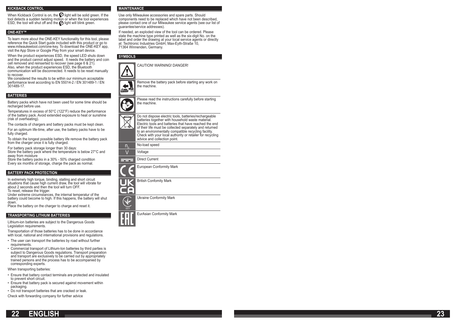#### **KICKBACK CONTROL**

When Kickback Control is on, the  $\boldsymbol{\mathcal{Q}}$  light will be solid green. If the tool detects a sudden twisting motion or when the tool experiences  $ESD$ , the tool will shut off and the  $\bigcirc$  light will blink green.

### **ONE-KEY™**

To learn more about the ONE-KEY functionality for this tool, please reference the Quick Start guide included with this product or go to www.milwaukeetool.com/one-key. To download the ONE-KEY app, visit the App Store or Google Play from your smart device.

When the product experiences ESD, the speed LED shuts down and the product cannot adjust speed. It needs the battery and coin cell removed and reinserted to recover (see page 6 & 21). Also, when the product experiences ESD, the Bluetooth

communication will be disconnected. It needs to be reset manually to recover. We considered the results to be within our minimum acceptable

performance level according to EN 55014-2 / EN 301489-1 / EN 301489-17.

#### **BATTERIES**

Battery packs which have not been used for some time should be recharged before use.

Temperatures in excess of 50°C (122°F) reduce the performance of the battery pack. Avoid extended exposure to heat or sunshine (risk of overheating).

The contacts of chargers and battery packs must be kept clean.

For an optimum life-time, after use, the battery packs have to be fully charged.

To obtain the longest possible battery life remove the battery pack from the charger once it is fully charged.

For battery pack storage longer than 30 days: Store the battery pack where the temperature is below 27°C and away from moisture

Store the battery packs in a 30% - 50% charged condition Every six months of storage, charge the pack as normal.

#### **BATTERY PACK PROTECTION**

In extremely high torque, binding, stalling and short circuit situations that cause high current draw, the tool will vibrate for about 2 seconds and then the tool will turn OFF. To reset, release the trigger.

Under extreme circumstances, the internal temperatur of the battery could become to high. If this happens, the battery will shut down.

Place the battery on the charger to charge and reset it.

### **TRANSPORTING LITHIUM BATTERIES**

Lithium-ion batteries are subject to the Dangerous Goods Legislation requirements.

Transportation of those batteries has to be done in accordance with local, national and international provisions and regulations.

- The user can transport the batteries by road without further requirements.
- Commercial transport of Lithium-Ion batteries by third parties is subject to Dangerous Goods regulations. Transport preparation and transport are exclusively to be carried out by appropriately trained persons and the process has to be accompanied by corresponding experts.

When transporting batteries:

- Ensure that battery contact terminals are protected and insulated to prevent short circuit.
- Ensure that battery pack is secured against movement within packaging.
- Do not transport batteries that are cracked or leak.

Check with forwarding company for further advice

### **MAINTENANCE**

Use only Milwaukee accessories and spare parts. Should components need to be replaced which have not been described, please contact one of our Milwaukee service agents (see our list of guarantee/service addresses).

If needed, an exploded view of the tool can be ordered. Please state the machine type printed as well as the six-digit No. on the label and order the drawing at your local service agents or directly at: Techtronic Industries GmbH, Max-Eyth-Straße 10, 71364 Winnenden, Germany.

#### **SYMBOLS**

![](_page_11_Picture_33.jpeg)

Remove the battery pack before starting any work on the machine.

![](_page_11_Picture_36.jpeg)

![](_page_11_Picture_37.jpeg)

∼

| й | Do not dispose electric tools, batteries/rechargeable<br>batteries together with household waste material.<br>Electric tools and batteries that have reached the end<br>of their life must be collected separately and returned<br>to an environmentally compatible recycling facility.<br>Check with your local authority or retailer for recycling<br>advice and collection point. |
|---|--------------------------------------------------------------------------------------------------------------------------------------------------------------------------------------------------------------------------------------------------------------------------------------------------------------------------------------------------------------------------------------|

 $n_{\rm o}$ No-load speed

| o esta |
|--------|
|        |

Direct Current ---

|  |  | <b>European Conformity Mark</b> |  |
|--|--|---------------------------------|--|
|--|--|---------------------------------|--|

British Confomity Mark

Θ r

Ukraine Conformity Mark

EurAsian Conformity Mark

![](_page_11_Picture_47.jpeg)

| 22 | <b>ENGLISH</b> |  |
|----|----------------|--|
|    |                |  |